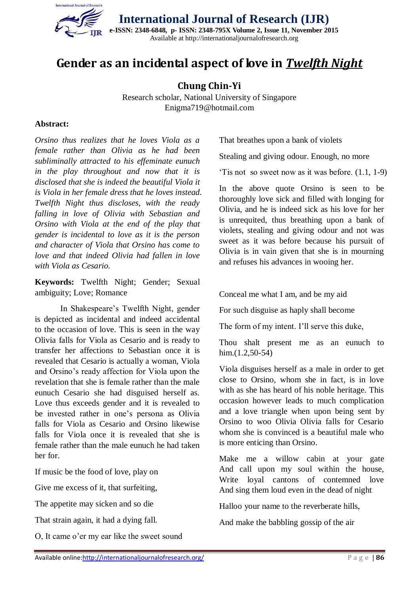

## **Gender as an incidental aspect of love in** *Twelfth Night*

**Chung Chin-Yi**

Research scholar, National University of Singapore Enigma719@hotmail.com

## **Abstract:**

*Orsino thus realizes that he loves Viola as a female rather than Olivia as he had been subliminally attracted to his effeminate eunuch in the play throughout and now that it is disclosed that she is indeed the beautiful Viola it is Viola in her female dress that he loves instead. Twelfth Night thus discloses, with the ready falling in love of Olivia with Sebastian and Orsino with Viola at the end of the play that gender is incidental to love as it is the person and character of Viola that Orsino has come to love and that indeed Olivia had fallen in love with Viola as Cesario.*

**Keywords:** Twelfth Night; Gender; Sexual ambiguity; Love; Romance

In Shakespeare's Twelfth Night, gender is depicted as incidental and indeed accidental to the occasion of love. This is seen in the way Olivia falls for Viola as Cesario and is ready to transfer her affections to Sebastian once it is revealed that Cesario is actually a woman, Viola and Orsino's ready affection for Viola upon the revelation that she is female rather than the male eunuch Cesario she had disguised herself as. Love thus exceeds gender and it is revealed to be invested rather in one's persona as Olivia falls for Viola as Cesario and Orsino likewise falls for Viola once it is revealed that she is female rather than the male eunuch he had taken her for.

If music be the food of love, play on

Give me excess of it, that surfeiting,

The appetite may sicken and so die

That strain again, it had a dying fall.

O, It came o'er my ear like the sweet sound

That breathes upon a bank of violets

Stealing and giving odour. Enough, no more

'Tis not so sweet now as it was before. (1.1, 1-9)

In the above quote Orsino is seen to be thoroughly love sick and filled with longing for Olivia, and he is indeed sick as his love for her is unrequited, thus breathing upon a bank of violets, stealing and giving odour and not was sweet as it was before because his pursuit of Olivia is in vain given that she is in mourning and refuses his advances in wooing her.

Conceal me what I am, and be my aid

For such disguise as haply shall become

The form of my intent. I'll serve this duke,

Thou shalt present me as an eunuch to him.(1.2,50-54)

Viola disguises herself as a male in order to get close to Orsino, whom she in fact, is in love with as she has heard of his noble heritage. This occasion however leads to much complication and a love triangle when upon being sent by Orsino to woo Olivia Olivia falls for Cesario whom she is convinced is a beautiful male who is more enticing than Orsino.

Make me a willow cabin at your gate And call upon my soul within the house, Write loyal cantons of contemned love And sing them loud even in the dead of night

Halloo your name to the reverberate hills,

And make the babbling gossip of the air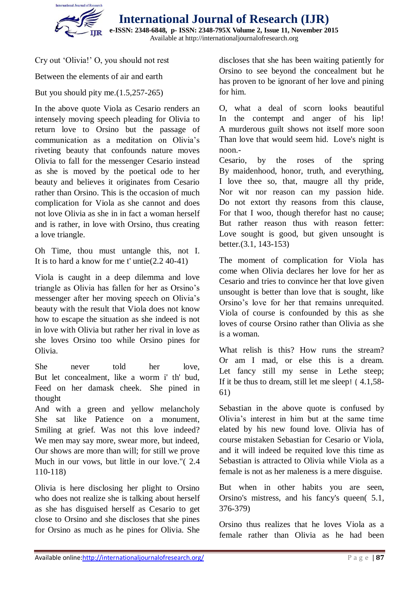

**International Journal of Research (IJR) e-ISSN: 2348-6848, p- ISSN: 2348-795X Volume 2, Issue 11, November 2015**

Available at http://internationaljournalofresearch.org

Cry out 'Olivia!' O, you should not rest

Between the elements of air and earth

But you should pity me.(1.5,257-265)

In the above quote Viola as Cesario renders an intensely moving speech pleading for Olivia to return love to Orsino but the passage of communication as a meditation on Olivia's riveting beauty that confounds nature moves Olivia to fall for the messenger Cesario instead as she is moved by the poetical ode to her beauty and believes it originates from Cesario rather than Orsino. This is the occasion of much complication for Viola as she cannot and does not love Olivia as she in in fact a woman herself and is rather, in love with Orsino, thus creating a love triangle.

Oh Time, thou must untangle this, not I. It is to hard a know for me t' untie(2.2 40-41)

Viola is caught in a deep dilemma and love triangle as Olivia has fallen for her as Orsino's messenger after her moving speech on Olivia's beauty with the result that Viola does not know how to escape the situation as she indeed is not in love with Olivia but rather her rival in love as she loves Orsino too while Orsino pines for Olivia.

She never told her love, But let concealment, like a worm i' th' bud, Feed on her damask cheek. She pined in thought

And with a green and yellow melancholy She sat like Patience on a monument, Smiling at grief. Was not this love indeed? We men may say more, swear more, but indeed, Our shows are more than will; for still we prove Much in our vows, but little in our love."( 2.4 110-118)

Olivia is here disclosing her plight to Orsino who does not realize she is talking about herself as she has disguised herself as Cesario to get close to Orsino and she discloses that she pines for Orsino as much as he pines for Olivia. She discloses that she has been waiting patiently for Orsino to see beyond the concealment but he has proven to be ignorant of her love and pining for him.

O, what a deal of scorn looks beautiful In the contempt and anger of his lip! A murderous guilt shows not itself more soon Than love that would seem hid. Love's night is noon.-

Cesario, by the roses of the spring By maidenhood, honor, truth, and everything, I love thee so, that, maugre all thy pride, Nor wit nor reason can my passion hide. Do not extort thy reasons from this clause, For that I woo, though therefor hast no cause; But rather reason thus with reason fetter: Love sought is good, but given unsought is better.(3.1, 143-153)

The moment of complication for Viola has come when Olivia declares her love for her as Cesario and tries to convince her that love given unsought is better than love that is sought, like Orsino's love for her that remains unrequited. Viola of course is confounded by this as she loves of course Orsino rather than Olivia as she is a woman.

What relish is this? How runs the stream? Or am I mad, or else this is a dream. Let fancy still my sense in Lethe steep; If it be thus to dream, still let me sleep! ( 4.1,58- 61)

Sebastian in the above quote is confused by Olivia's interest in him but at the same time elated by his new found love. Olivia has of course mistaken Sebastian for Cesario or Viola, and it will indeed be requited love this time as Sebastian is attracted to Olivia while Viola as a female is not as her maleness is a mere disguise.

But when in other habits you are seen, Orsino's mistress, and his fancy's queen( 5.1, 376-379)

Orsino thus realizes that he loves Viola as a female rather than Olivia as he had been